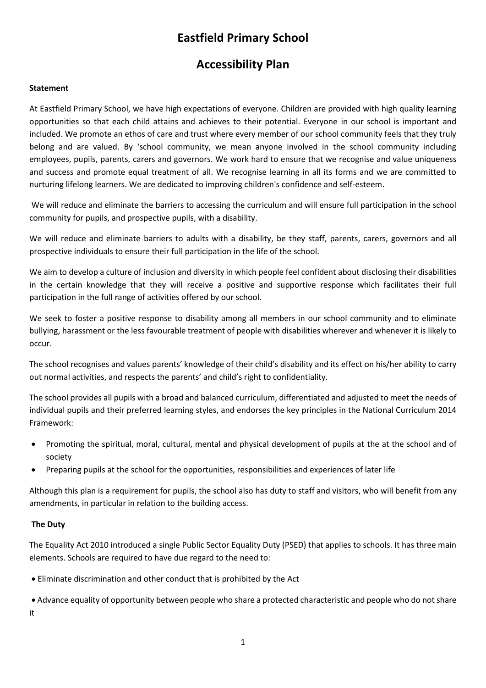# **Eastfield Primary School**

# **Accessibility Plan**

# **Statement**

At Eastfield Primary School, we have high expectations of everyone. Children are provided with high quality learning opportunities so that each child attains and achieves to their potential. Everyone in our school is important and included. We promote an ethos of care and trust where every member of our school community feels that they truly belong and are valued. By 'school community, we mean anyone involved in the school community including employees, pupils, parents, carers and governors. We work hard to ensure that we recognise and value uniqueness and success and promote equal treatment of all. We recognise learning in all its forms and we are committed to nurturing lifelong learners. We are dedicated to improving children's confidence and self-esteem.

We will reduce and eliminate the barriers to accessing the curriculum and will ensure full participation in the school community for pupils, and prospective pupils, with a disability.

We will reduce and eliminate barriers to adults with a disability, be they staff, parents, carers, governors and all prospective individuals to ensure their full participation in the life of the school.

We aim to develop a culture of inclusion and diversity in which people feel confident about disclosing their disabilities in the certain knowledge that they will receive a positive and supportive response which facilitates their full participation in the full range of activities offered by our school.

We seek to foster a positive response to disability among all members in our school community and to eliminate bullying, harassment or the less favourable treatment of people with disabilities wherever and whenever it is likely to occur.

The school recognises and values parents' knowledge of their child's disability and its effect on his/her ability to carry out normal activities, and respects the parents' and child's right to confidentiality.

The school provides all pupils with a broad and balanced curriculum, differentiated and adjusted to meet the needs of individual pupils and their preferred learning styles, and endorses the key principles in the National Curriculum 2014 Framework:

- Promoting the spiritual, moral, cultural, mental and physical development of pupils at the at the school and of society
- Preparing pupils at the school for the opportunities, responsibilities and experiences of later life

Although this plan is a requirement for pupils, the school also has duty to staff and visitors, who will benefit from any amendments, in particular in relation to the building access.

#### **The Duty**

The Equality Act 2010 introduced a single Public Sector Equality Duty (PSED) that applies to schools. It has three main elements. Schools are required to have due regard to the need to:

Eliminate discrimination and other conduct that is prohibited by the Act

 Advance equality of opportunity between people who share a protected characteristic and people who do not share it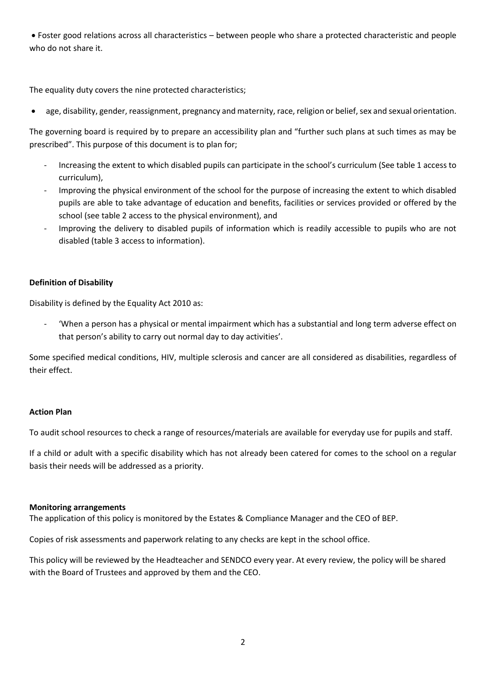Foster good relations across all characteristics – between people who share a protected characteristic and people who do not share it.

The equality duty covers the nine protected characteristics;

age, disability, gender, reassignment, pregnancy and maternity, race, religion or belief, sex and sexual orientation.

The governing board is required by to prepare an accessibility plan and "further such plans at such times as may be prescribed". This purpose of this document is to plan for;

- Increasing the extent to which disabled pupils can participate in the school's curriculum (See table 1 access to curriculum),
- Improving the physical environment of the school for the purpose of increasing the extent to which disabled pupils are able to take advantage of education and benefits, facilities or services provided or offered by the school (see table 2 access to the physical environment), and
- Improving the delivery to disabled pupils of information which is readily accessible to pupils who are not disabled (table 3 access to information).

# **Definition of Disability**

Disability is defined by the Equality Act 2010 as:

'When a person has a physical or mental impairment which has a substantial and long term adverse effect on that person's ability to carry out normal day to day activities'.

Some specified medical conditions, HIV, multiple sclerosis and cancer are all considered as disabilities, regardless of their effect.

#### **Action Plan**

To audit school resources to check a range of resources/materials are available for everyday use for pupils and staff.

If a child or adult with a specific disability which has not already been catered for comes to the school on a regular basis their needs will be addressed as a priority.

#### **Monitoring arrangements**

The application of this policy is monitored by the Estates & Compliance Manager and the CEO of BEP.

Copies of risk assessments and paperwork relating to any checks are kept in the school office.

This policy will be reviewed by the Headteacher and SENDCO every year. At every review, the policy will be shared with the Board of Trustees and approved by them and the CEO.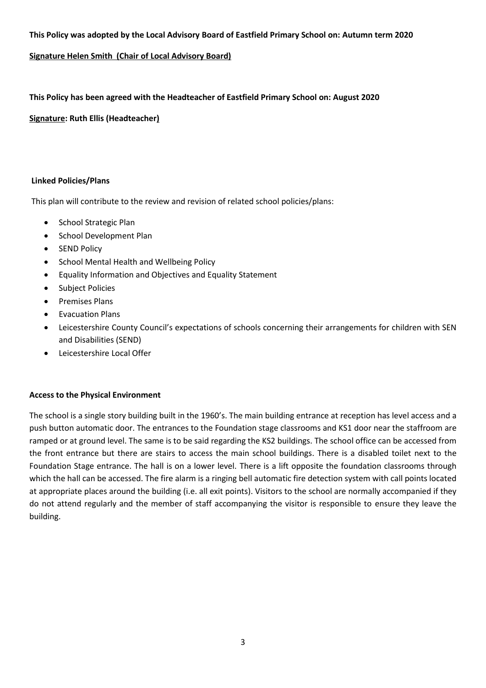# **This Policy was adopted by the Local Advisory Board of Eastfield Primary School on: Autumn term 2020**

# **Signature Helen Smith (Chair of Local Advisory Board)**

**This Policy has been agreed with the Headteacher of Eastfield Primary School on: August 2020**

**Signature: Ruth Ellis (Headteacher)**

#### **Linked Policies/Plans**

This plan will contribute to the review and revision of related school policies/plans:

- School Strategic Plan
- School Development Plan
- SEND Policy
- School Mental Health and Wellbeing Policy
- Equality Information and Objectives and Equality Statement
- Subject Policies
- Premises Plans
- Evacuation Plans
- Leicestershire County Council's expectations of schools concerning their arrangements for children with SEN and Disabilities (SEND)
- Leicestershire Local Offer

#### **Access to the Physical Environment**

The school is a single story building built in the 1960's. The main building entrance at reception has level access and a push button automatic door. The entrances to the Foundation stage classrooms and KS1 door near the staffroom are ramped or at ground level. The same is to be said regarding the KS2 buildings. The school office can be accessed from the front entrance but there are stairs to access the main school buildings. There is a disabled toilet next to the Foundation Stage entrance. The hall is on a lower level. There is a lift opposite the foundation classrooms through which the hall can be accessed. The fire alarm is a ringing bell automatic fire detection system with call points located at appropriate places around the building (i.e. all exit points). Visitors to the school are normally accompanied if they do not attend regularly and the member of staff accompanying the visitor is responsible to ensure they leave the building.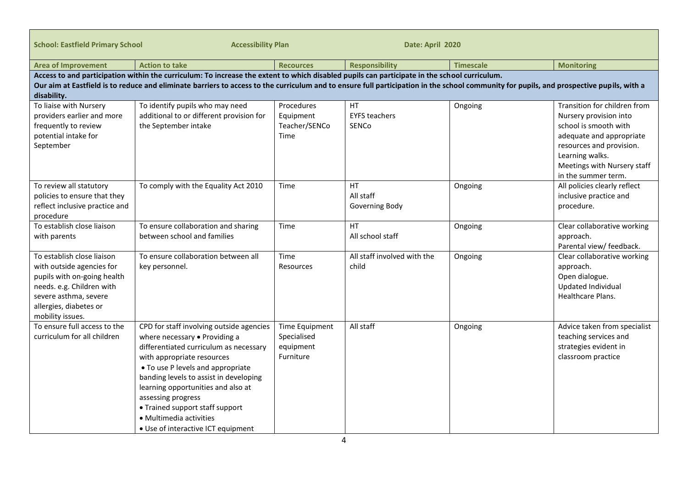| <b>School: Eastfield Primary School</b>                                                                                                                                                                                                                                                                                                                 | <b>Accessibility Plan</b>                                                                                                                                                                                                                                                                                                                                                                        | Date: April 2020                                        |                                            |                  |                                                                                                                                                                                                                  |
|---------------------------------------------------------------------------------------------------------------------------------------------------------------------------------------------------------------------------------------------------------------------------------------------------------------------------------------------------------|--------------------------------------------------------------------------------------------------------------------------------------------------------------------------------------------------------------------------------------------------------------------------------------------------------------------------------------------------------------------------------------------------|---------------------------------------------------------|--------------------------------------------|------------------|------------------------------------------------------------------------------------------------------------------------------------------------------------------------------------------------------------------|
| <b>Area of Improvement</b>                                                                                                                                                                                                                                                                                                                              | <b>Action to take</b>                                                                                                                                                                                                                                                                                                                                                                            | <b>Recources</b>                                        | <b>Responsibility</b>                      | <b>Timescale</b> | <b>Monitoring</b>                                                                                                                                                                                                |
| Access to and participation within the curriculum: To increase the extent to which disabled pupils can participate in the school curriculum.<br>Our aim at Eastfield is to reduce and eliminate barriers to access to the curriculum and to ensure full participation in the school community for pupils, and prospective pupils, with a<br>disability. |                                                                                                                                                                                                                                                                                                                                                                                                  |                                                         |                                            |                  |                                                                                                                                                                                                                  |
| To liaise with Nursery<br>providers earlier and more<br>frequently to review<br>potential intake for<br>September                                                                                                                                                                                                                                       | To identify pupils who may need<br>additional to or different provision for<br>the September intake                                                                                                                                                                                                                                                                                              | Procedures<br>Equipment<br>Teacher/SENCo<br>Time        | HT<br><b>EYFS teachers</b><br><b>SENCo</b> | Ongoing          | Transition for children from<br>Nursery provision into<br>school is smooth with<br>adequate and appropriate<br>resources and provision.<br>Learning walks.<br>Meetings with Nursery staff<br>in the summer term. |
| To review all statutory<br>policies to ensure that they<br>reflect inclusive practice and<br>procedure                                                                                                                                                                                                                                                  | To comply with the Equality Act 2010                                                                                                                                                                                                                                                                                                                                                             | Time                                                    | <b>HT</b><br>All staff<br>Governing Body   | Ongoing          | All policies clearly reflect<br>inclusive practice and<br>procedure.                                                                                                                                             |
| To establish close liaison<br>with parents                                                                                                                                                                                                                                                                                                              | To ensure collaboration and sharing<br>between school and families                                                                                                                                                                                                                                                                                                                               | Time                                                    | HT<br>All school staff                     | Ongoing          | Clear collaborative working<br>approach.<br>Parental view/ feedback.                                                                                                                                             |
| To establish close liaison<br>with outside agencies for<br>pupils with on-going health<br>needs. e.g. Children with<br>severe asthma, severe<br>allergies, diabetes or<br>mobility issues.                                                                                                                                                              | To ensure collaboration between all<br>key personnel.                                                                                                                                                                                                                                                                                                                                            | Time<br>Resources                                       | All staff involved with the<br>child       | Ongoing          | Clear collaborative working<br>approach.<br>Open dialogue.<br>Updated Individual<br>Healthcare Plans.                                                                                                            |
| To ensure full access to the<br>curriculum for all children                                                                                                                                                                                                                                                                                             | CPD for staff involving outside agencies<br>where necessary . Providing a<br>differentiated curriculum as necessary<br>with appropriate resources<br>• To use P levels and appropriate<br>banding levels to assist in developing<br>learning opportunities and also at<br>assessing progress<br>• Trained support staff support<br>· Multimedia activities<br>• Use of interactive ICT equipment | Time Equipment<br>Specialised<br>equipment<br>Furniture | All staff                                  | Ongoing          | Advice taken from specialist<br>teaching services and<br>strategies evident in<br>classroom practice                                                                                                             |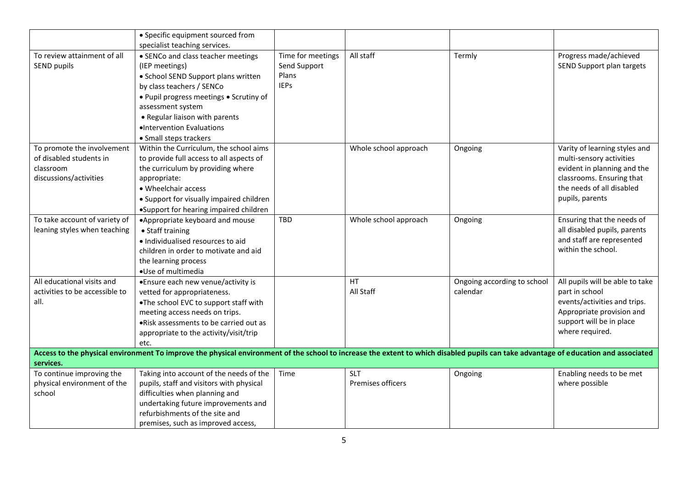|                                                                                                                                                                                     | • Specific equipment sourced from        |                   |                       |                             |                                 |  |
|-------------------------------------------------------------------------------------------------------------------------------------------------------------------------------------|------------------------------------------|-------------------|-----------------------|-----------------------------|---------------------------------|--|
|                                                                                                                                                                                     | specialist teaching services.            |                   |                       |                             |                                 |  |
| To review attainment of all                                                                                                                                                         | • SENCo and class teacher meetings       | Time for meetings | All staff             | Termly                      | Progress made/achieved          |  |
| SEND pupils                                                                                                                                                                         | (IEP meetings)                           | Send Support      |                       |                             | SEND Support plan targets       |  |
|                                                                                                                                                                                     | • School SEND Support plans written      | Plans             |                       |                             |                                 |  |
|                                                                                                                                                                                     | by class teachers / SENCo                | <b>IEPs</b>       |                       |                             |                                 |  |
|                                                                                                                                                                                     | . Pupil progress meetings . Scrutiny of  |                   |                       |                             |                                 |  |
|                                                                                                                                                                                     | assessment system                        |                   |                       |                             |                                 |  |
|                                                                                                                                                                                     | • Regular liaison with parents           |                   |                       |                             |                                 |  |
|                                                                                                                                                                                     | ·Intervention Evaluations                |                   |                       |                             |                                 |  |
|                                                                                                                                                                                     | • Small steps trackers                   |                   |                       |                             |                                 |  |
| To promote the involvement                                                                                                                                                          | Within the Curriculum, the school aims   |                   | Whole school approach | Ongoing                     | Varity of learning styles and   |  |
| of disabled students in                                                                                                                                                             | to provide full access to all aspects of |                   |                       |                             | multi-sensory activities        |  |
| classroom                                                                                                                                                                           | the curriculum by providing where        |                   |                       |                             | evident in planning and the     |  |
| discussions/activities                                                                                                                                                              | appropriate:                             |                   |                       |                             | classrooms. Ensuring that       |  |
|                                                                                                                                                                                     | • Wheelchair access                      |                   |                       |                             | the needs of all disabled       |  |
|                                                                                                                                                                                     | • Support for visually impaired children |                   |                       |                             | pupils, parents                 |  |
|                                                                                                                                                                                     | •Support for hearing impaired children   |                   |                       |                             |                                 |  |
| To take account of variety of                                                                                                                                                       | •Appropriate keyboard and mouse          | TBD               | Whole school approach | Ongoing                     | Ensuring that the needs of      |  |
| leaning styles when teaching                                                                                                                                                        | • Staff training                         |                   |                       |                             | all disabled pupils, parents    |  |
|                                                                                                                                                                                     | · Individualised resources to aid        |                   |                       |                             | and staff are represented       |  |
|                                                                                                                                                                                     | children in order to motivate and aid    |                   |                       |                             | within the school.              |  |
|                                                                                                                                                                                     | the learning process                     |                   |                       |                             |                                 |  |
|                                                                                                                                                                                     | •Use of multimedia                       |                   |                       |                             |                                 |  |
| All educational visits and                                                                                                                                                          | •Ensure each new venue/activity is       |                   | <b>HT</b>             | Ongoing according to school | All pupils will be able to take |  |
| activities to be accessible to                                                                                                                                                      | vetted for appropriateness.              |                   | All Staff             | calendar                    | part in school                  |  |
| all.                                                                                                                                                                                | .The school EVC to support staff with    |                   |                       |                             | events/activities and trips.    |  |
|                                                                                                                                                                                     | meeting access needs on trips.           |                   |                       |                             | Appropriate provision and       |  |
|                                                                                                                                                                                     | .Risk assessments to be carried out as   |                   |                       |                             | support will be in place        |  |
|                                                                                                                                                                                     | appropriate to the activity/visit/trip   |                   |                       |                             | where required.                 |  |
|                                                                                                                                                                                     | etc.                                     |                   |                       |                             |                                 |  |
| Access to the physical environment To improve the physical environment of the school to increase the extent to which disabled pupils can take advantage of education and associated |                                          |                   |                       |                             |                                 |  |
| services.                                                                                                                                                                           |                                          |                   |                       |                             |                                 |  |
| To continue improving the                                                                                                                                                           | Taking into account of the needs of the  | Time              | <b>SLT</b>            | Ongoing                     | Enabling needs to be met        |  |
| physical environment of the                                                                                                                                                         | pupils, staff and visitors with physical |                   | Premises officers     |                             | where possible                  |  |
| school                                                                                                                                                                              | difficulties when planning and           |                   |                       |                             |                                 |  |
|                                                                                                                                                                                     | undertaking future improvements and      |                   |                       |                             |                                 |  |
|                                                                                                                                                                                     | refurbishments of the site and           |                   |                       |                             |                                 |  |
|                                                                                                                                                                                     | premises, such as improved access,       |                   |                       |                             |                                 |  |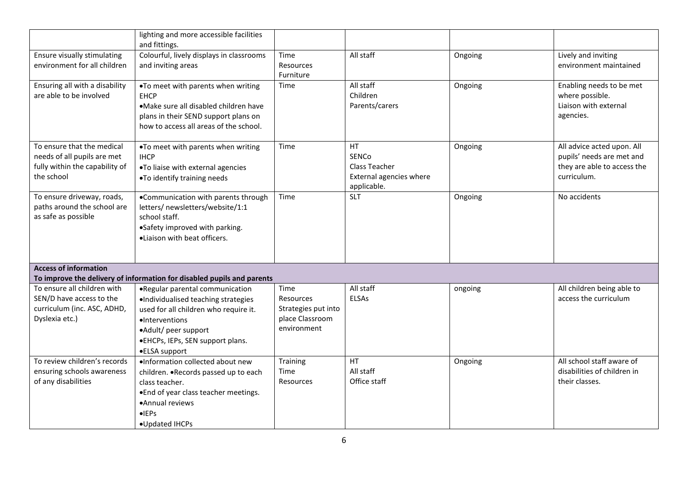|                                                                                                           | lighting and more accessible facilities<br>and fittings.                                                                                                                                                       |                                                                            |                                                                         |         |                                                                                                       |
|-----------------------------------------------------------------------------------------------------------|----------------------------------------------------------------------------------------------------------------------------------------------------------------------------------------------------------------|----------------------------------------------------------------------------|-------------------------------------------------------------------------|---------|-------------------------------------------------------------------------------------------------------|
| Ensure visually stimulating<br>environment for all children                                               | Colourful, lively displays in classrooms<br>and inviting areas                                                                                                                                                 | Time<br>Resources<br>Furniture                                             | All staff                                                               | Ongoing | Lively and inviting<br>environment maintained                                                         |
| Ensuring all with a disability<br>are able to be involved                                                 | .To meet with parents when writing<br><b>EHCP</b><br>•Make sure all disabled children have<br>plans in their SEND support plans on<br>how to access all areas of the school.                                   | Time                                                                       | All staff<br>Children<br>Parents/carers                                 | Ongoing | Enabling needs to be met<br>where possible.<br>Liaison with external<br>agencies.                     |
| To ensure that the medical<br>needs of all pupils are met<br>fully within the capability of<br>the school | .To meet with parents when writing<br><b>IHCP</b><br>.To liaise with external agencies<br>.To identify training needs                                                                                          | Time                                                                       | HT.<br>SENCo<br>Class Teacher<br>External agencies where<br>applicable. | Ongoing | All advice acted upon. All<br>pupils' needs are met and<br>they are able to access the<br>curriculum. |
| To ensure driveway, roads,<br>paths around the school are<br>as safe as possible                          | •Communication with parents through<br>letters/ newsletters/website/1:1<br>school staff.<br>•Safety improved with parking.<br>·Liaison with beat officers.                                                     | Time                                                                       | <b>SLT</b>                                                              | Ongoing | No accidents                                                                                          |
| <b>Access of information</b>                                                                              | To improve the delivery of information for disabled pupils and parents                                                                                                                                         |                                                                            |                                                                         |         |                                                                                                       |
| To ensure all children with<br>SEN/D have access to the<br>curriculum (inc. ASC, ADHD,<br>Dyslexia etc.)  | .Regular parental communication<br>·Individualised teaching strategies<br>used for all children who require it.<br>·Interventions<br>•Adult/ peer support<br>•EHCPs, IEPs, SEN support plans.<br>●ELSA support | Time<br>Resources<br>Strategies put into<br>place Classroom<br>environment | All staff<br><b>ELSAs</b>                                               | ongoing | All children being able to<br>access the curriculum                                                   |
| To review children's records<br>ensuring schools awareness<br>of any disabilities                         | ·Information collected about new<br>children. . Records passed up to each<br>class teacher.<br>. End of year class teacher meetings.<br>•Annual reviews<br>$\bullet$ EPs<br>•Updated IHCPs                     | Training<br>Time<br>Resources                                              | <b>HT</b><br>All staff<br>Office staff                                  | Ongoing | All school staff aware of<br>disabilities of children in<br>their classes.                            |